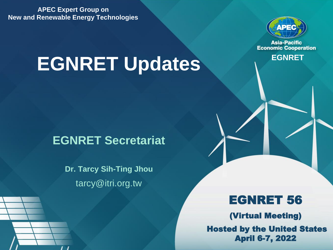**APEC Expert Group on New and Renewable Energy Technologies** 

# **EGNRET Updates**



**Asia-Pacific Economic Cooperation** 

### **EGNRET Secretariat**

**Dr. Tarcy Sih-Ting Jhou** tarcy@itri.org.tw

### EGNRET 56

(Virtual Meeting) Hosted by the United States April 6-7, 2022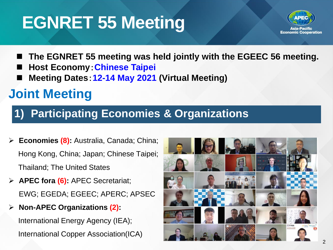# **EGNRET 55 Meeting**



- The EGNRET 55 meeting was held jointly with the EGEEC 56 meeting.
- ◼ **Host Economy**:**Chinese Taipei**
- **Meeting Dates: 12-14 May 2021 (Virtual Meeting)**

## **Joint Meeting**

### **1) Participating Economies & Organizations**

- ➢ **Economies (8):** Australia, Canada; China; Hong Kong, China; Japan; Chinese Taipei; Thailand; The United States
- ➢ **APEC fora (6):** APEC Secretariat; EWG; EGEDA; EGEEC; APERC; APSEC
- ➢ **Non-APEC Organizations (2):**

International Energy Agency (IEA); International Copper Association(ICA)

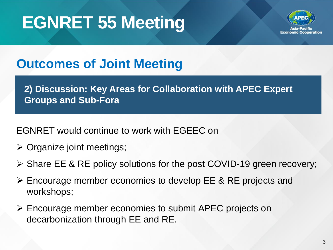# **EGNRET 55 Meeting**



**Economic Cooperation** 

## **Outcomes of Joint Meeting**

**2) Discussion: Key Areas for Collaboration with APEC Expert Groups and Sub-Fora**

EGNRET would continue to work with EGEEC on

- ➢ Organize joint meetings;
- ➢ Share EE & RE policy solutions for the post COVID-19 green recovery;
- ➢ Encourage member economies to develop EE & RE projects and workshops;
- ➢ Encourage member economies to submit APEC projects on decarbonization through EE and RE.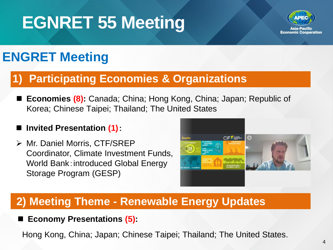# **EGNRET 55 Meeting**



## **ENGRET Meeting**

### **1) Participating Economies & Organizations**

**Economies (8):** Canada; China; Hong Kong, China; Japan; Republic of Korea; Chinese Taipei; Thailand; The United States

#### **Invited Presentation (1):**

➢ Mr. Daniel Morris, CTF/SREP Coordinator, Climate Investment Funds, World Bank:introduced Global Energy Storage Program (GESP)



### **2) Meeting Theme - Renewable Energy Updates**

**Economy Presentations (5):** 

Hong Kong, China; Japan; Chinese Taipei; Thailand; The United States.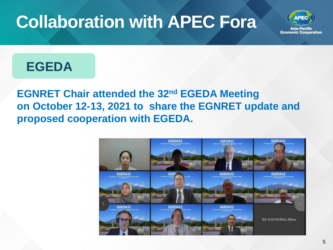# **Collaboration with APEC Fora**



### **EGEDA**

**EGNRET Chair attended the 32nd EGEDA Meeting on October 12-13, 2021 to share the EGNRET update and proposed cooperation with EGEDA.**

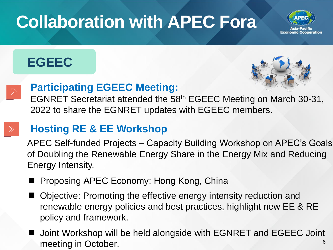# **Collaboration with APEC Fora**



### **EGEEC**





#### **Participating EGEEC Meeting:**

EGNRET Secretariat attended the 58th EGEEC Meeting on March 30-31, 2022 to share the EGNRET updates with EGEEC members.

### **Hosting RE & EE Workshop**

APEC Self-funded Projects – Capacity Building Workshop on APEC's Goals of Doubling the Renewable Energy Share in the Energy Mix and Reducing Energy Intensity.

- Proposing APEC Economy: Hong Kong, China
- Objective: Promoting the effective energy intensity reduction and renewable energy policies and best practices, highlight new EE & RE policy and framework.
- 6 ◼ Joint Workshop will be held alongside with EGNRET and EGEEC Joint meeting in October.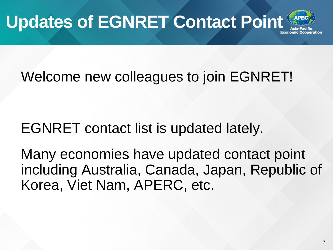# **Updates of EGNRET Contact Point**



# Welcome new colleagues to join EGNRET!

## EGNRET contact list is updated lately.

Many economies have updated contact point including Australia, Canada, Japan, Republic of Korea, Viet Nam, APERC, etc.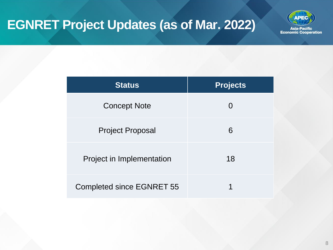

| <b>Status</b>                    | <b>Projects</b> |
|----------------------------------|-----------------|
| <b>Concept Note</b>              |                 |
| <b>Project Proposal</b>          | 6               |
| <b>Project in Implementation</b> | 18              |
| <b>Completed since EGNRET 55</b> |                 |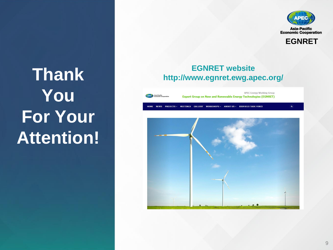

**EGNRET**

# **Thank You For Your Attention!**

#### **EGNRET website http://www.egnret.ewg.apec.org/**

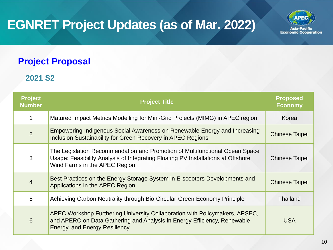

#### **Project Proposal**

#### **2021 S2**

| <b>Project</b><br><b>Number</b> | <b>Project Title</b>                                                                                                                                                                             | <b>Proposed</b><br><b>Economy</b> |
|---------------------------------|--------------------------------------------------------------------------------------------------------------------------------------------------------------------------------------------------|-----------------------------------|
|                                 | Matured Impact Metrics Modelling for Mini-Grid Projects (MIMG) in APEC region                                                                                                                    | Korea                             |
| $\overline{2}$                  | Empowering Indigenous Social Awareness on Renewable Energy and Increasing<br>Inclusion Sustainability for Green Recovery in APEC Regions                                                         | <b>Chinese Taipei</b>             |
| 3                               | The Legislation Recommendation and Promotion of Multifunctional Ocean Space<br>Usage: Feasibility Analysis of Integrating Floating PV Installations at Offshore<br>Wind Farms in the APEC Region | <b>Chinese Taipei</b>             |
| $\overline{4}$                  | Best Practices on the Energy Storage System in E-scooters Developments and<br>Applications in the APEC Region                                                                                    | <b>Chinese Taipei</b>             |
| 5                               | Achieving Carbon Neutrality through Bio-Circular-Green Economy Principle                                                                                                                         | <b>Thailand</b>                   |
| 6                               | APEC Workshop Furthering University Collaboration with Policymakers, APSEC,<br>and APERC on Data Gathering and Analysis in Energy Efficiency, Renewable<br><b>Energy, and Energy Resiliency</b>  | <b>USA</b>                        |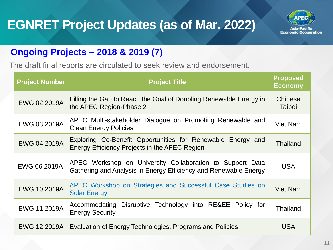

### **Ongoing Projects – 2018 & 2019 (7)**

The draft final reports are circulated to seek review and endorsement.

| <b>Project Number</b> | <b>Project Title</b>                                                                                                          | <b>Proposed</b><br><b>Economy</b> |
|-----------------------|-------------------------------------------------------------------------------------------------------------------------------|-----------------------------------|
| <b>EWG 02 2019A</b>   | Filling the Gap to Reach the Goal of Doubling Renewable Energy in<br>the APEC Region-Phase 2                                  | <b>Chinese</b><br>Taipei          |
| <b>EWG 03 2019A</b>   | APEC Multi-stakeholder Dialogue on Promoting Renewable and<br><b>Clean Energy Policies</b>                                    | <b>Viet Nam</b>                   |
| <b>EWG 04 2019A</b>   | Exploring Co-Benefit Opportunities for Renewable Energy and<br>Energy Efficiency Projects in the APEC Region                  | <b>Thailand</b>                   |
| <b>EWG 06 2019A</b>   | APEC Workshop on University Collaboration to Support Data<br>Gathering and Analysis in Energy Efficiency and Renewable Energy | <b>USA</b>                        |
| <b>EWG 10 2019A</b>   | APEC Workshop on Strategies and Successful Case Studies on<br><b>Solar Energy</b>                                             | <b>Viet Nam</b>                   |
| <b>EWG 11 2019A</b>   | Disruptive Technology into RE&EE Policy for<br>Accommodating<br><b>Energy Security</b>                                        | Thailand                          |
|                       | EWG 12 2019A Evaluation of Energy Technologies, Programs and Policies                                                         | USA                               |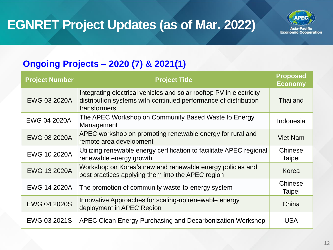

### **Ongoing Projects – 2020 (7) & 2021(1)**

| <b>Project Number</b> | <b>Project Title</b>                                                                                                                                   | <b>Proposed</b><br><b>Economy</b> |
|-----------------------|--------------------------------------------------------------------------------------------------------------------------------------------------------|-----------------------------------|
| <b>EWG 03 2020A</b>   | Integrating electrical vehicles and solar rooftop PV in electricity<br>distribution systems with continued performance of distribution<br>transformers | Thailand                          |
| <b>EWG 04 2020A</b>   | The APEC Workshop on Community Based Waste to Energy<br>Management                                                                                     | Indonesia                         |
| <b>EWG 08 2020A</b>   | APEC workshop on promoting renewable energy for rural and<br>remote area development                                                                   | <b>Viet Nam</b>                   |
| <b>EWG 10 2020A</b>   | Utilizing renewable energy certification to facilitate APEC regional<br>renewable energy growth                                                        | <b>Chinese</b><br>Taipei          |
| <b>EWG 13 2020A</b>   | Workshop on Korea's new and renewable energy policies and<br>best practices applying them into the APEC region                                         | Korea                             |
| EWG 14 2020A          | The promotion of community waste-to-energy system                                                                                                      | Chinese<br>Taipei                 |
| <b>EWG 04 2020S</b>   | Innovative Approaches for scaling-up renewable energy<br>deployment in APEC Region                                                                     | China                             |
| EWG 03 2021S          | APEC Clean Energy Purchasing and Decarbonization Workshop                                                                                              | <b>USA</b>                        |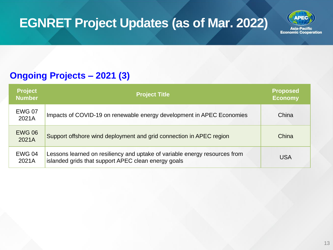

#### **Ongoing Projects – 2021 (3)**

| <b>Project</b><br><b>Number</b> | <b>Project Title</b>                                                                                                              | <b>Proposed</b><br><b>Economy</b> |
|---------------------------------|-----------------------------------------------------------------------------------------------------------------------------------|-----------------------------------|
| <b>EWG 07</b><br>2021A          | Impacts of COVID-19 on renewable energy development in APEC Economies                                                             | China                             |
| <b>EWG 06</b><br>2021A          | Support offshore wind deployment and grid connection in APEC region                                                               | China                             |
| <b>EWG 04</b><br>2021A          | Lessons learned on resiliency and uptake of variable energy resources from<br>islanded grids that support APEC clean energy goals | <b>USA</b>                        |